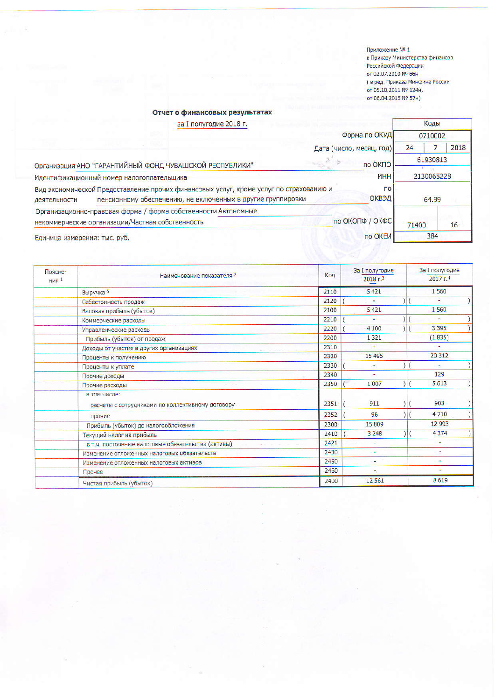Приложение № 1 к Приказу Министерства финансов Российской Федерации от 02.07.2010 № 66н с в ред. Приказа Минфина России<br>от 05.10.2011 № 124н, от 06.04.2015 № 57н)

## Отчет о финансовых результатах

| за I полугодие 2018 г.<br>Форма по ОКУД                                                                                                                               |                 |       | Коды<br>0710002 |  |
|-----------------------------------------------------------------------------------------------------------------------------------------------------------------------|-----------------|-------|-----------------|--|
|                                                                                                                                                                       |                 |       |                 |  |
| по ОКПО<br>Организация АНО "ГАРАНТИЙНЫЙ ФОНД ЧУВАШСКОЙ РЕСПУБЛИКИ"                                                                                                    |                 |       | 61930813        |  |
| <b>UHH</b><br>Идентификационный номер налогоплательщика                                                                                                               |                 |       | 2130065228      |  |
| Вид экономической Предоставление прочих финансовых услуг, кроме услуг по страхованию и<br>пенсионному обеспечению, не включенных в другие группировки<br>деятельности | 64.99           |       |                 |  |
| Организационно-правовая форма / форма собственности Автономные<br>некоммерческие организации/Частная собственность                                                    | по ОКОПФ / ОКФС | 71400 | 16              |  |
| Единица измерения: тыс. руб.                                                                                                                                          | по ОКЕИ         | 384   |                 |  |

| Поясне-<br>HMR <sup>1</sup> | Наименование показателя 2                                        | Код  | <b>За I полугодие</b><br>2018r <sup>3</sup> | За I полугодие<br>2017 <sub>5.4</sub> |
|-----------------------------|------------------------------------------------------------------|------|---------------------------------------------|---------------------------------------|
|                             | Выручка 5                                                        | 2110 | 5 4 2 1                                     | 1560                                  |
|                             | Себестоимость продаж                                             | 2120 | ÷                                           | ۰                                     |
|                             | Валовая прибыль (убыток)                                         | 2100 | 5 4 21                                      | 1560                                  |
|                             | Коммерческие расходы                                             | 2210 | ٠                                           | ۰                                     |
|                             | Управленческие расходы                                           | 2220 | 4 100                                       | 3 3 9 5                               |
|                             | Прибыль (убыток) от продаж                                       | 2200 | 1 3 2 1                                     | (1835)                                |
|                             | Доходы от участия в других организациях                          | 2310 |                                             |                                       |
|                             | Проценты к получению                                             | 2320 | 15 4 95                                     | 20 312                                |
|                             | Проценты к уплате                                                | 2330 |                                             |                                       |
|                             | Прочие доходы                                                    | 2340 | ٠                                           | 129                                   |
|                             | Прочие расходы                                                   | 2350 | 1007                                        | 5613                                  |
|                             | в том числе:<br>расчеты с сотрудниками по коллективному договору | 2351 | 911                                         | 903                                   |
|                             | прочие                                                           | 2352 | 96                                          | 4710                                  |
|                             | Прибыль (убыток) до налогообложения                              | 2300 | 15809                                       | 12 993                                |
|                             | Текущий налог на прибыль                                         | 2410 | 3 2 4 8                                     | 4374                                  |
|                             | в т.ч. постоянные налоговые обязательства (активы)               | 2421 |                                             | ÷                                     |
|                             | Изменение отложенных налоговых обязательств                      | 2430 | ٠                                           | ۰                                     |
|                             | Изменение отложенных налоговых активов                           | 2450 |                                             |                                       |
|                             | Прочее                                                           | 2460 |                                             | ۰                                     |
|                             | Чистая прибыль (убыток)                                          | 2400 | 12 5 6 1                                    | 8619                                  |